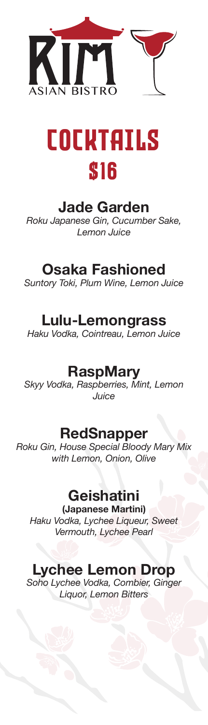



#### **Jade Garden**

*Roku Japanese Gin, Cucumber Sake, Lemon Juice*

#### **Osaka Fashioned**

*Suntory Toki, Plum Wine, Lemon Juice*

#### **Lulu-Lemongrass**

*Haku Vodka, Cointreau, Lemon Juice*

#### **RaspMary**

*Skyy Vodka, Raspberries, Mint, Lemon Juice*

#### **RedSnapper**

*Roku Gin, House Special Bloody Mary Mix with Lemon, Onion, Olive* 

#### **Geishatini**

**(Japanese Martini)** *Haku Vodka, Lychee Liqueur, Sweet Vermouth, Lychee Pearl*

### **Lychee Lemon Drop**

*Soho Lychee Vodka, Combier, Ginger Liquor, Lemon Bitters*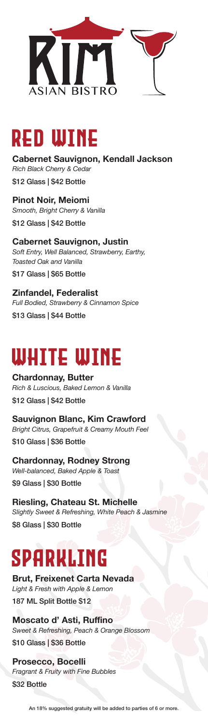



**Cabernet Sauvignon, Kendall Jackson**  *Rich Black Cherry & Cedar* \$12 Glass | \$42 Bottle

**Pinot Noir, Meiomi** *Smooth, Bright Cherry & Vanilla* \$12 Glass | \$42 Bottle

**Cabernet Sauvignon, Justin** *Soft Entry, Well Balanced, Strawberry, Earthy, Toasted Oak and Vanilla* \$17 Glass | \$65 Bottle

**Zinfandel, Federalist** *Full Bodied, Strawberry & Cinnamon Spice* \$13 Glass | \$44 Bottle

### WHITE WINE

**Chardonnay, Butter** *Rich & Luscious, Baked Lemon & Vanilla* \$12 Glass | \$42 Bottle

**Sauvignon Blanc, Kim Crawford** *Bright Citrus, Grapefruit & Creamy Mouth Feel* \$10 Glass | \$36 Bottle

**Chardonnay, Rodney Strong** *Well-balanced, Baked Apple & Toast* \$9 Glass | \$30 Bottle

**Riesling, Chateau St. Michelle** *Slightly Sweet & Refreshing, White Peach & Jasmine* \$8 Glass | \$30 Bottle

### SPARKLING

**Brut, Freixenet Carta Nevada** *Light & Fresh with Apple & Lemon* 187 ML Split Bottle \$12

**Moscato d' Asti, Ruffino** *Sweet & Refreshing, Peach & Orange Blossom* \$10 Glass | \$36 Bottle

**Prosecco, Bocelli** *Fragrant & Fruity with Fine Bubbles* \$32 Bottle

An 18% suggested gratuity will be added to parties of 6 or more.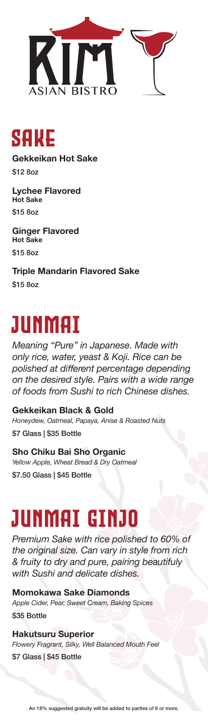

SAKE

**Gekkeikan Hot Sake** \$12 8oz

**Lychee Flavored Hot Sake** \$15 8oz

**Ginger Flavored Hot Sake** \$15 8oz

**Triple Mandarin Flavored Sake** \$15 8oz

### JUNMAI

*Meaning "Pure" in Japanese. Made with only rice, water, yeast & Koji. Rice can be polished at different percentage depending on the desired style. Pairs with a wide range of foods from Sushi to rich Chinese dishes.*

**Gekkeikan Black & Gold**  *Honeydew, Oatmeal, Papaya, Anise & Roasted Nuts* \$7 Glass | \$35 Bottle

**Sho Chiku Bai Sho Organic** *Yellow Apple, Wheat Bread & Dry Oatmeal* \$7.50 Glass | \$45 Bottle

# JUNMAI GINJO

*Premium Sake with rice polished to 60% of the original size. Can vary in style from rich & fruity to dry and pure, pairing beautifuly with Sushi and delicate dishes.*

**Momokawa Sake Diamonds** *Apple Cider, Pear, Sweet Cream, Baking Spices* \$35 Bottle

**Hakutsuru Superior** *Flowery Fragrant, Silky, Well Balanced Mouth Feel* \$7 Glass | \$45 Bottle